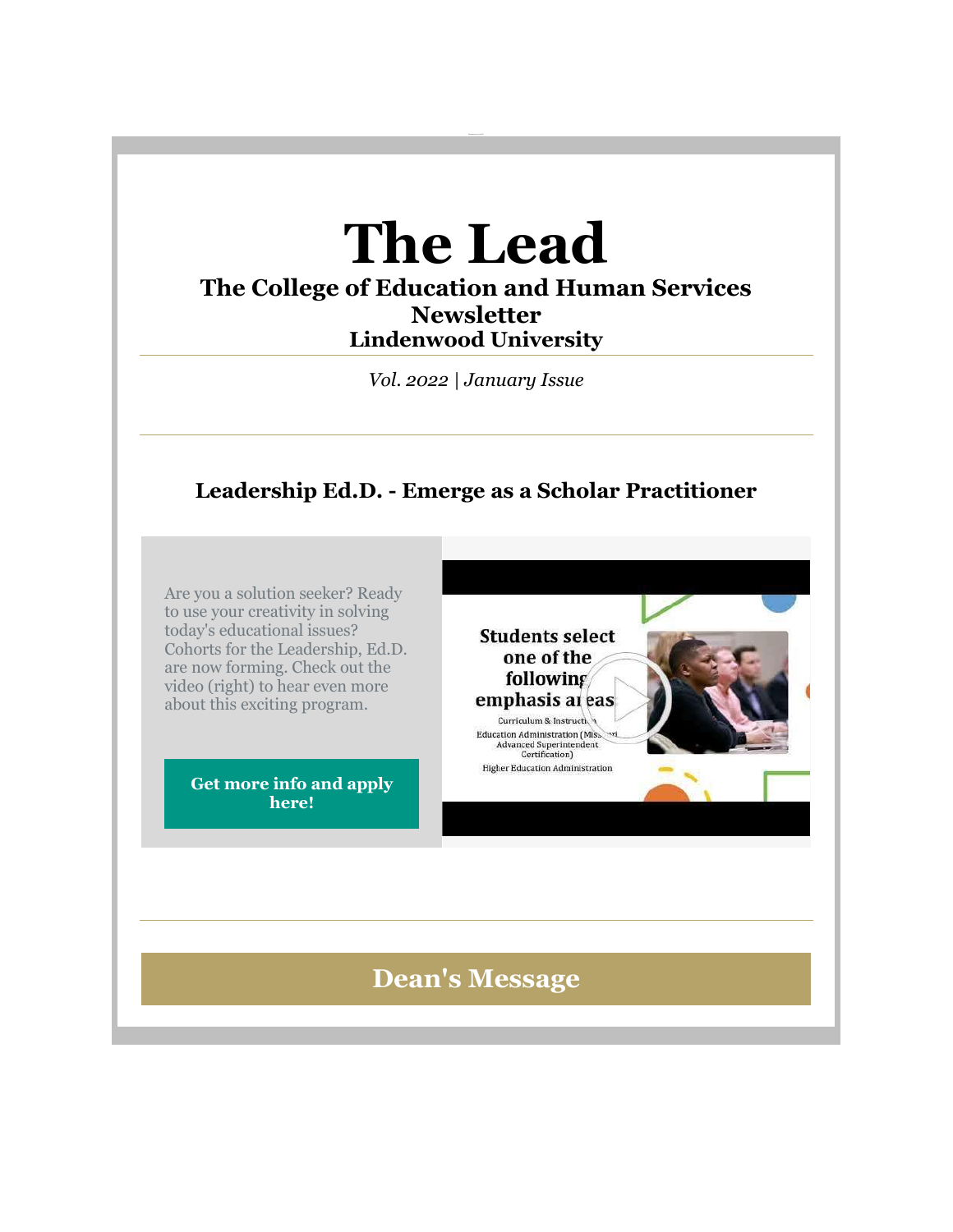# **The Lead**

## **The College of Education and Human Services Newsletter Lindenwood University**

*Vol. 2022 | January Issue*

# **Leadership Ed.D. - Emerge as a Scholar Practitioner**

Are you a solution seeker? Ready to use your creativity in solving today's educational issues? Cohorts for the Leadership, Ed.D. are now forming. Check out the video (right) to hear even more about this exciting program.

> **[Get more info and apply](https://nam04.safelinks.protection.outlook.com/?url=https%3A%2F%2Fr20.rs6.net%2Ftn.jsp%3Ff%3D001mw-4XsUTvDJaiOy8WEnwDQyFB1HU1u2ZSuqGTjh8EvPMCtoMPbcfJhIPIjv6U2lQkCc9gfX5s_KO2q9fQY1LNRKHlcW4Z6L9MmuaQshLDEkzNFfd1lLDXmP7ZsYBE91C1XAbZHr2BZG2dlsj9o0zvocTfawQtDAYQp8Gklmg4dRiNW_4HLG7LP5gTRi5MHsV64E7ejEPLIBlHnFybVDKDQ7MjrMHMDTJdURkhLr6LP08rvT4SM8dV87mpYjhQmTAoC6N_jb8m7LN-oNiWpDuLA%3D%3D%26c%3D-_FK0SfcGGsDAkE83Dis9Smhxq6dxfmYqrcMYSwNHfue7bg80H4lWA%3D%3D%26ch%3DvFAjamSSNb8iQdJ1-1A1sC0EOxIuk4SDQTLY96L-RV-PCTd5z_ibBA%3D%3D&data=04%7C01%7Cphuffman%40lindenwood.edu%7C9f3b9727adf64d22cd9e08d9ceca1516%7C3d72f08e540a4c68905d9e69c4d9c61e%7C1%7C0%7C637768189602257565%7CUnknown%7CTWFpbGZsb3d8eyJWIjoiMC4wLjAwMDAiLCJQIjoiV2luMzIiLCJBTiI6Ik1haWwiLCJXVCI6Mn0%3D%7C3000&sdata=z6fBzlFoEDBovyJoSc1WRuEl99FQvh5Lo4OVSBFgM5o%3D&reserved=0)  [here!](https://nam04.safelinks.protection.outlook.com/?url=https%3A%2F%2Fr20.rs6.net%2Ftn.jsp%3Ff%3D001mw-4XsUTvDJaiOy8WEnwDQyFB1HU1u2ZSuqGTjh8EvPMCtoMPbcfJhIPIjv6U2lQkCc9gfX5s_KO2q9fQY1LNRKHlcW4Z6L9MmuaQshLDEkzNFfd1lLDXmP7ZsYBE91C1XAbZHr2BZG2dlsj9o0zvocTfawQtDAYQp8Gklmg4dRiNW_4HLG7LP5gTRi5MHsV64E7ejEPLIBlHnFybVDKDQ7MjrMHMDTJdURkhLr6LP08rvT4SM8dV87mpYjhQmTAoC6N_jb8m7LN-oNiWpDuLA%3D%3D%26c%3D-_FK0SfcGGsDAkE83Dis9Smhxq6dxfmYqrcMYSwNHfue7bg80H4lWA%3D%3D%26ch%3DvFAjamSSNb8iQdJ1-1A1sC0EOxIuk4SDQTLY96L-RV-PCTd5z_ibBA%3D%3D&data=04%7C01%7Cphuffman%40lindenwood.edu%7C9f3b9727adf64d22cd9e08d9ceca1516%7C3d72f08e540a4c68905d9e69c4d9c61e%7C1%7C0%7C637768189602257565%7CUnknown%7CTWFpbGZsb3d8eyJWIjoiMC4wLjAwMDAiLCJQIjoiV2luMzIiLCJBTiI6Ik1haWwiLCJXVCI6Mn0%3D%7C3000&sdata=z6fBzlFoEDBovyJoSc1WRuEl99FQvh5Lo4OVSBFgM5o%3D&reserved=0)**

**Students select** one of the following emphasis at eas Curriculum & Instruction

Education Administration (Miss<br>Advanced Superintendent Certification) **Higher Education Administration** 

# **Dean's Message**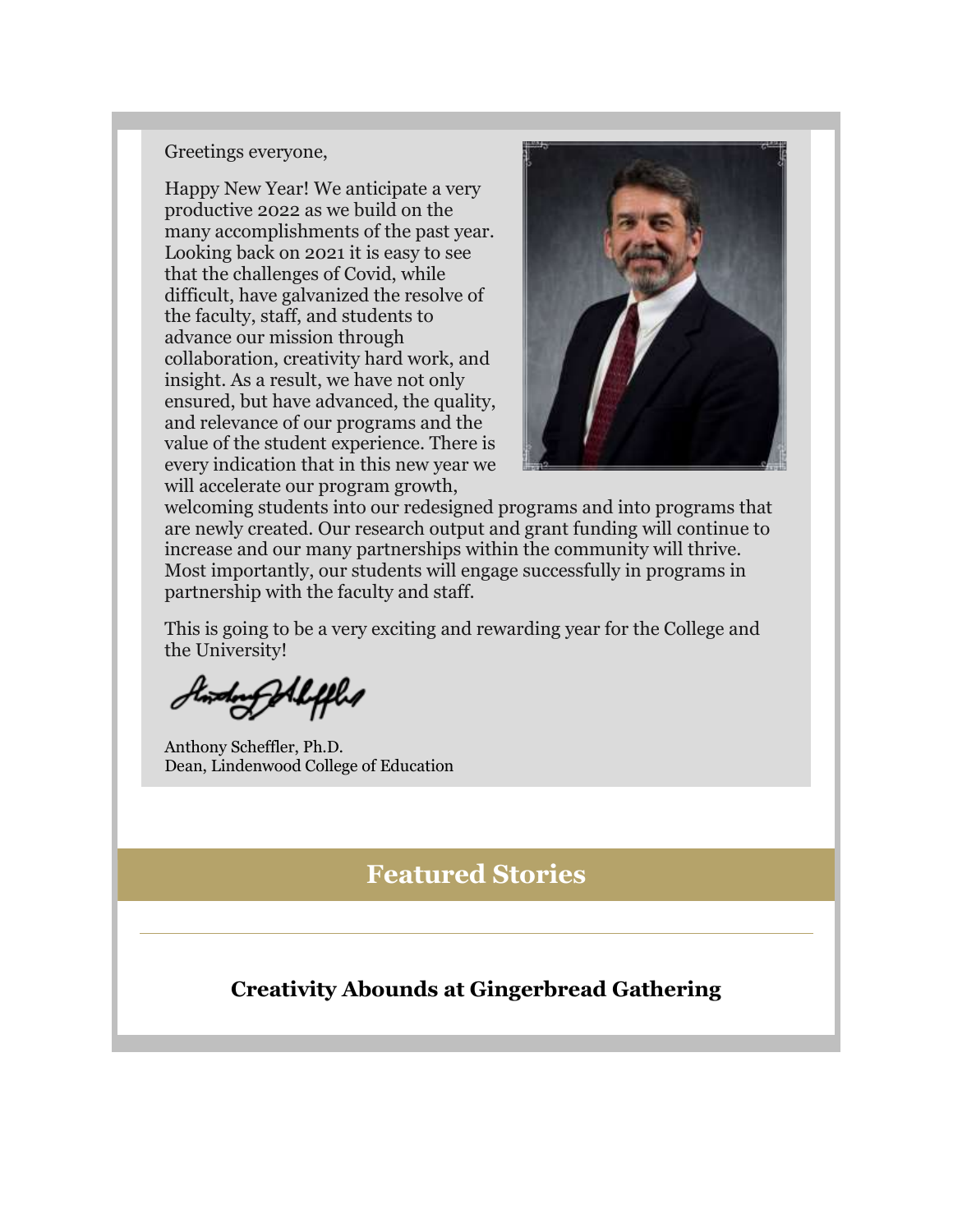#### Greetings everyone,

Happy New Year! We anticipate a very productive 2022 as we build on the many accomplishments of the past year. Looking back on 2021 it is easy to see that the challenges of Covid, while difficult, have galvanized the resolve of the faculty, staff, and students to advance our mission through collaboration, creativity hard work, and insight. As a result, we have not only ensured, but have advanced, the quality, and relevance of our programs and the value of the student experience. There is every indication that in this new year we will accelerate our program growth,



welcoming students into our redesigned programs and into programs that are newly created. Our research output and grant funding will continue to increase and our many partnerships within the community will thrive. Most importantly, our students will engage successfully in programs in partnership with the faculty and staff.

This is going to be a very exciting and rewarding year for the College and the University!

Ing Alepha

Anthony Scheffler, Ph.D. Dean, Lindenwood College of Education

# **Featured Stories**

#### **Creativity Abounds at Gingerbread Gathering**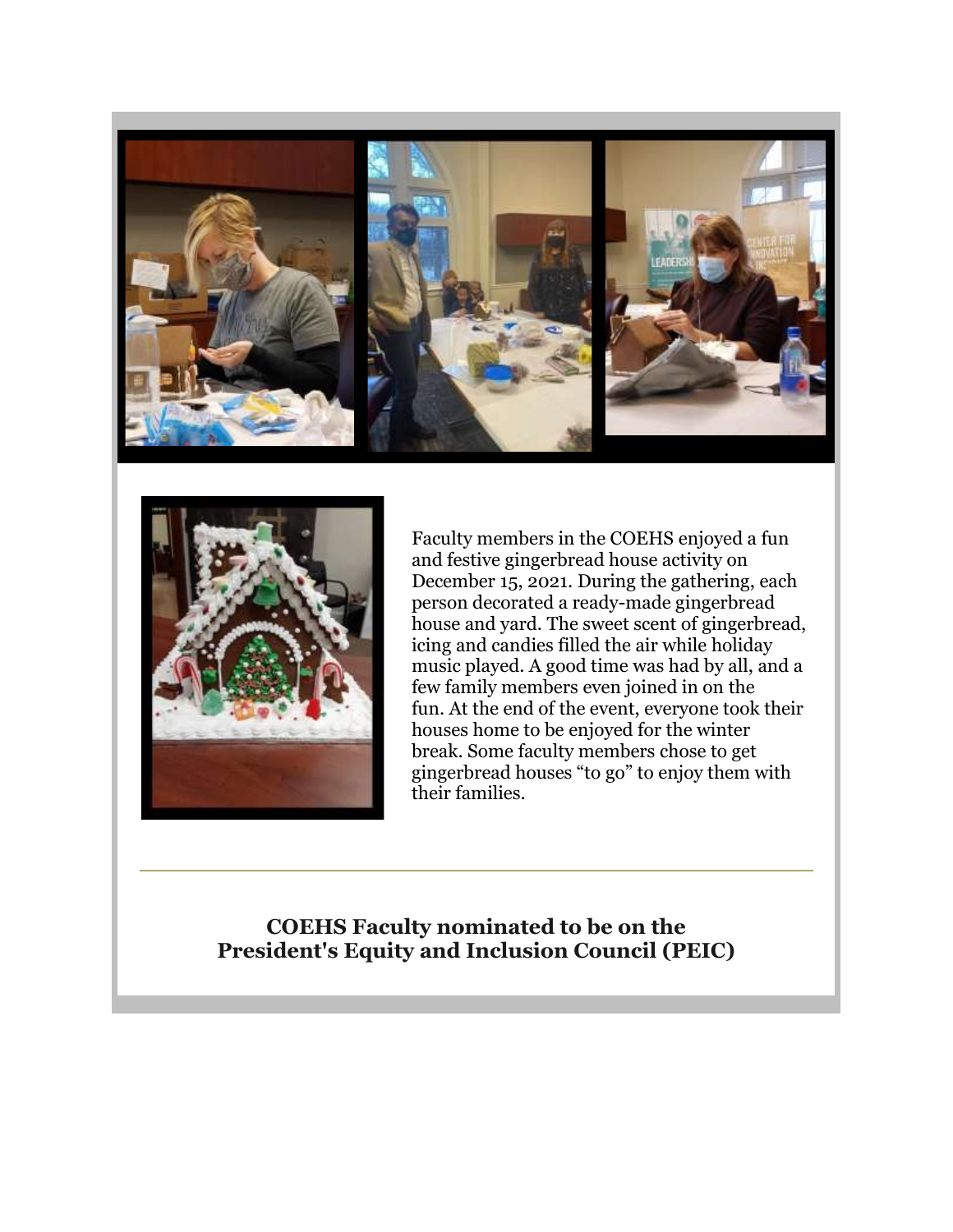



Faculty members in the COEHS enjoyed a fun and festive gingerbread house activity on December 15, 2021. During the gathering, each person decorated a ready-made gingerbread house and yard. The sweet scent of gingerbread, icing and candies filled the air while holiday music played. A good time was had by all, and a few family members even joined in on the fun. At the end of the event, everyone took their houses home to be enjoyed for the winter break. Some faculty members chose to get gingerbread houses "to go" to enjoy them with their families.

#### **COEHS Faculty nominated to be on the President's Equity and Inclusion Council (PEIC)**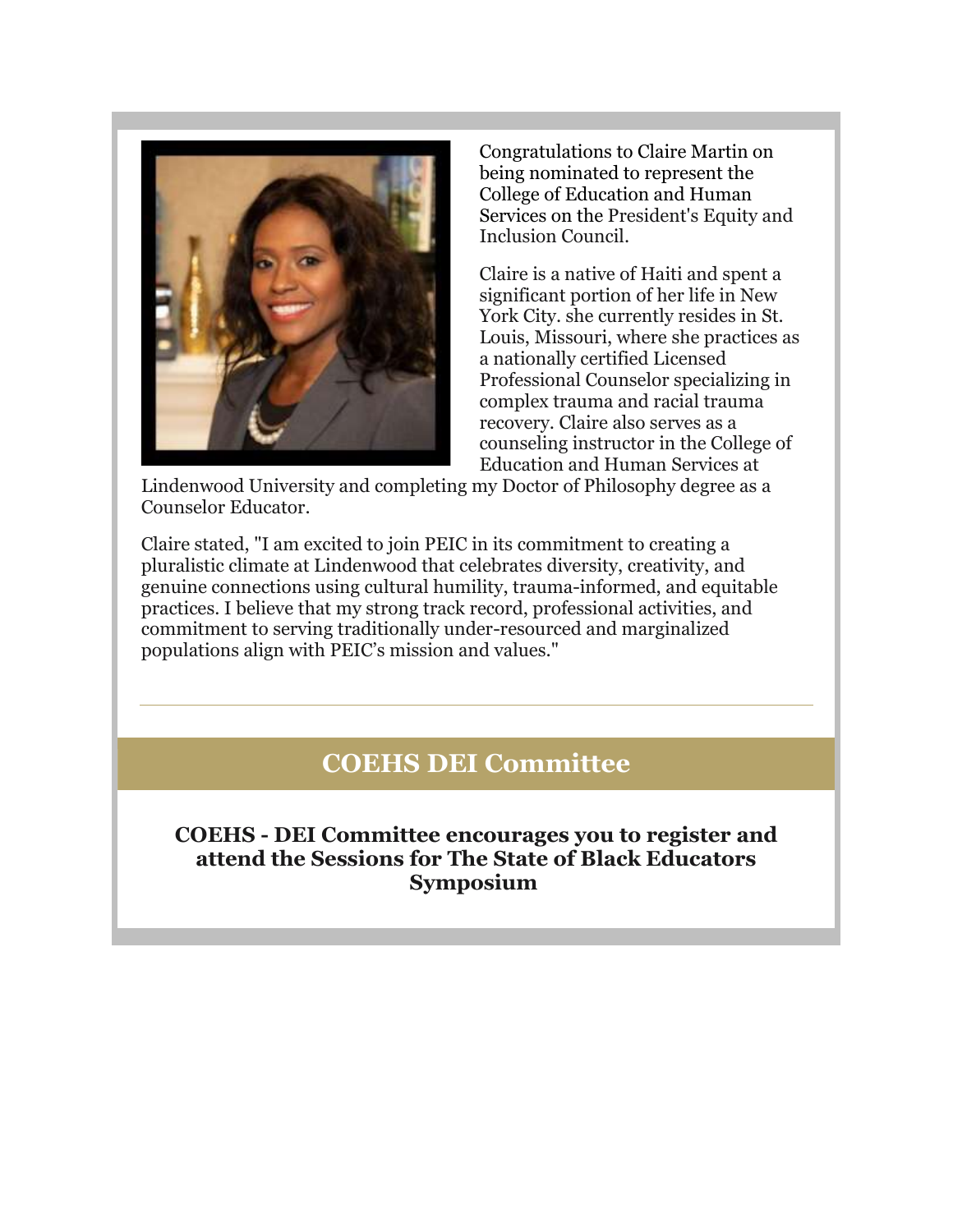

Congratulations to Claire Martin on being nominated to represent the College of Education and Human Services on the President's Equity and Inclusion Council.

Claire is a native of Haiti and spent a significant portion of her life in New York City. she currently resides in St. Louis, Missouri, where she practices as a nationally certified Licensed Professional Counselor specializing in complex trauma and racial trauma recovery. Claire also serves as a counseling instructor in the College of Education and Human Services at

Lindenwood University and completing my Doctor of Philosophy degree as a Counselor Educator.

Claire stated, "I am excited to join PEIC in its commitment to creating a pluralistic climate at Lindenwood that celebrates diversity, creativity, and genuine connections using cultural humility, trauma-informed, and equitable practices. I believe that my strong track record, professional activities, and commitment to serving traditionally under-resourced and marginalized populations align with PEIC's mission and values."

# **COEHS DEI Committee**

**COEHS - DEI Committee encourages you to register and attend the Sessions for The State of Black Educators Symposium**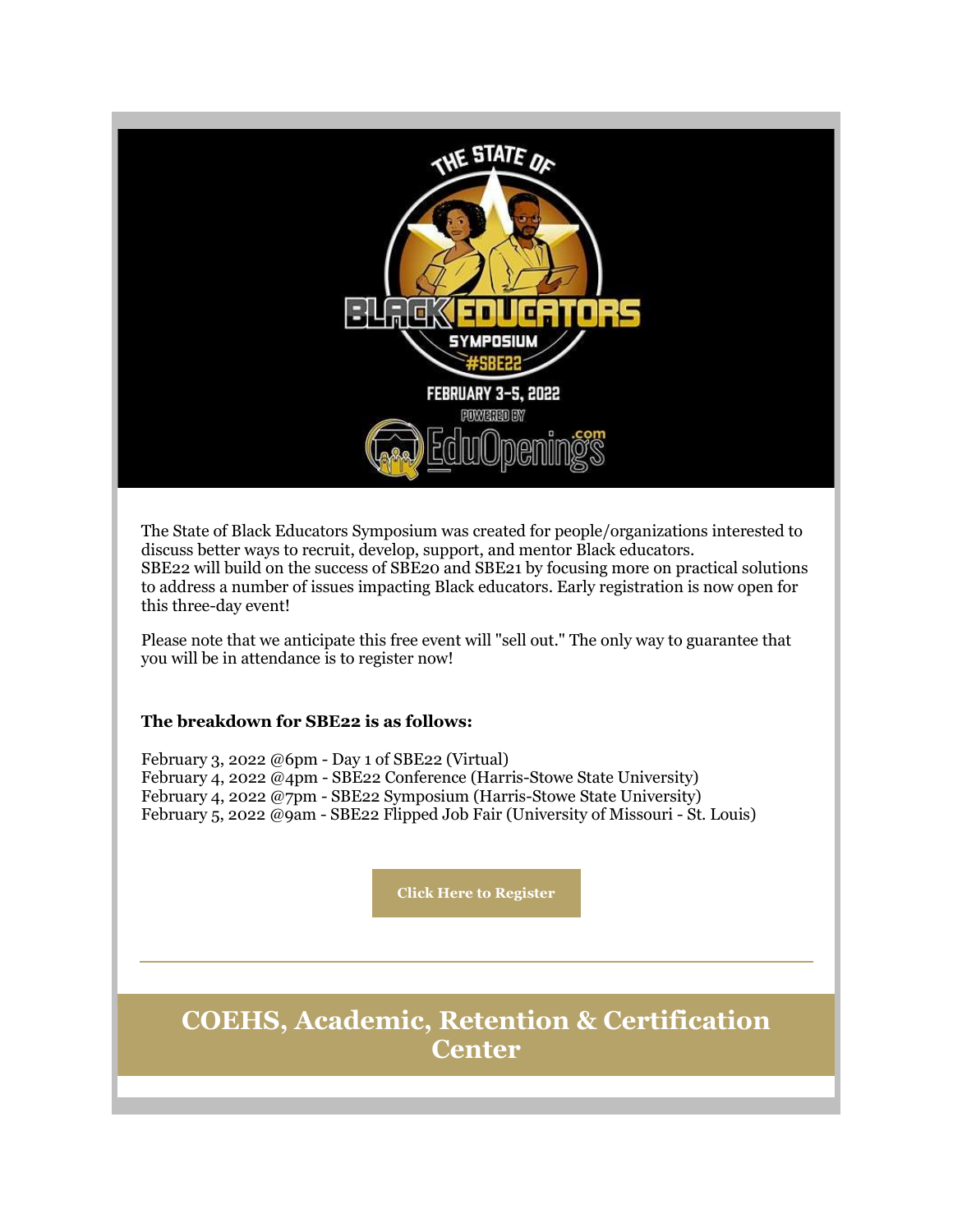

The State of Black Educators Symposium was created for people/organizations interested to discuss better ways to recruit, develop, support, and mentor Black educators. SBE22 will build on the success of SBE20 and SBE21 by focusing more on practical solutions to address a number of issues impacting Black educators. Early registration is now open for this three-day event!

Please note that we anticipate this free event will "sell out." The only way to guarantee that you will be in attendance is to register now!

#### **The breakdown for SBE22 is as follows:**

February 3, 2022  $\omega$ 6pm - Day 1 of SBE22 (Virtual) February 4, 2022 @4pm - SBE22 Conference (Harris-Stowe State University) February 4, 2022 @7pm - SBE22 Symposium (Harris-Stowe State University) February 5, 2022 @9am - SBE22 Flipped Job Fair (University of Missouri - St. Louis)

**[Click Here to Register](https://nam04.safelinks.protection.outlook.com/?url=https%3A%2F%2Fr20.rs6.net%2Ftn.jsp%3Ff%3D001mw-4XsUTvDJaiOy8WEnwDQyFB1HU1u2ZSuqGTjh8EvPMCtoMPbcfJp6SZ83YxQPDyVEl-sEUNTfljFSSf08Bh7YYt2WPdoV4uuoHu19LU-muxfQ8whvG5Gy0UqrZ7ArWsAjK1uK-mFN15eKHbhaZ_xOkB8zELP6kkUgYiCNat6UFyz1X-7JFwubjvaciH1w_ntxCjQ6M3Uww8QIXY9MWozhNKUMok85sVGWurHeQBs3PcfGZZ8Zadg%3D%3D%26c%3D-_FK0SfcGGsDAkE83Dis9Smhxq6dxfmYqrcMYSwNHfue7bg80H4lWA%3D%3D%26ch%3DvFAjamSSNb8iQdJ1-1A1sC0EOxIuk4SDQTLY96L-RV-PCTd5z_ibBA%3D%3D&data=04%7C01%7Cphuffman%40lindenwood.edu%7C9f3b9727adf64d22cd9e08d9ceca1516%7C3d72f08e540a4c68905d9e69c4d9c61e%7C1%7C0%7C637768189602257565%7CUnknown%7CTWFpbGZsb3d8eyJWIjoiMC4wLjAwMDAiLCJQIjoiV2luMzIiLCJBTiI6Ik1haWwiLCJXVCI6Mn0%3D%7C3000&sdata=2g8ozY9nJD3BjYOjwTbJvPzDVc2Wa5%2B3LwYAr5lh53w%3D&reserved=0)**

# **COEHS, Academic, Retention & Certification Center**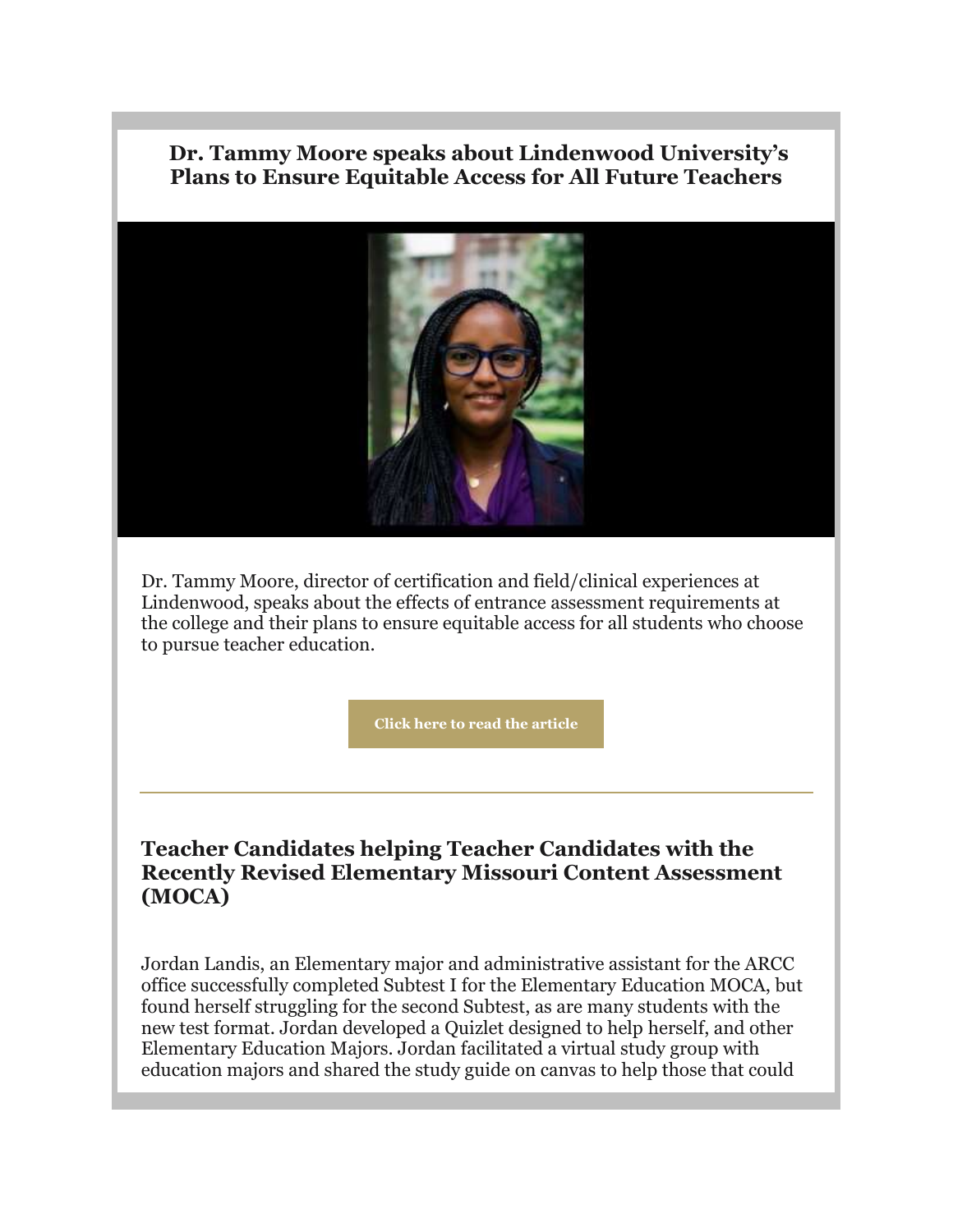#### **Dr. Tammy Moore speaks about Lindenwood University's Plans to Ensure Equitable Access for All Future Teachers**



Dr. Tammy Moore, director of certification and field/clinical experiences at Lindenwood, speaks about the effects of entrance assessment requirements at the college and their plans to ensure equitable access for all students who choose to pursue teacher education.

**[Click here to read the article](https://nam04.safelinks.protection.outlook.com/?url=https%3A%2F%2Fr20.rs6.net%2Ftn.jsp%3Ff%3D001mw-4XsUTvDJaiOy8WEnwDQyFB1HU1u2ZSuqGTjh8EvPMCtoMPbcfJp6SZ83YxQPD5yjLEmSyypOo7NXodaxTKwCHKYNl0UtlLfvUZ4I-GerW8A6q_eNTkxPe21iDVwKE3WpUGPPB2Xwv0UtgfjCTLdGRAR3ynHMIPXtrIAxAOpNHlYyESK7xGuiN4Fpb_kGaOMoGOLdDwHtmPMWUbV28u2OhWzouNk_3bbLMwviZR1BX9kg2qSXkuyrRDIcqP2mYnO65lPstG4P2Ii2Kolkl-A%3D%3D%26c%3D-_FK0SfcGGsDAkE83Dis9Smhxq6dxfmYqrcMYSwNHfue7bg80H4lWA%3D%3D%26ch%3DvFAjamSSNb8iQdJ1-1A1sC0EOxIuk4SDQTLY96L-RV-PCTd5z_ibBA%3D%3D&data=04%7C01%7Cphuffman%40lindenwood.edu%7C9f3b9727adf64d22cd9e08d9ceca1516%7C3d72f08e540a4c68905d9e69c4d9c61e%7C1%7C0%7C637768189602257565%7CUnknown%7CTWFpbGZsb3d8eyJWIjoiMC4wLjAwMDAiLCJQIjoiV2luMzIiLCJBTiI6Ik1haWwiLCJXVCI6Mn0%3D%7C3000&sdata=5UahoZTYFLEKOTNRcxXrRMJp6SJk%2BVxlT7RW1OwkrfE%3D&reserved=0)**

#### **Teacher Candidates helping Teacher Candidates with the Recently Revised Elementary Missouri Content Assessment (MOCA)**

Jordan Landis, an Elementary major and administrative assistant for the ARCC office successfully completed Subtest I for the Elementary Education MOCA, but found herself struggling for the second Subtest, as are many students with the new test format. Jordan developed a Quizlet designed to help herself, and other Elementary Education Majors. Jordan facilitated a virtual study group with education majors and shared the study guide on canvas to help those that could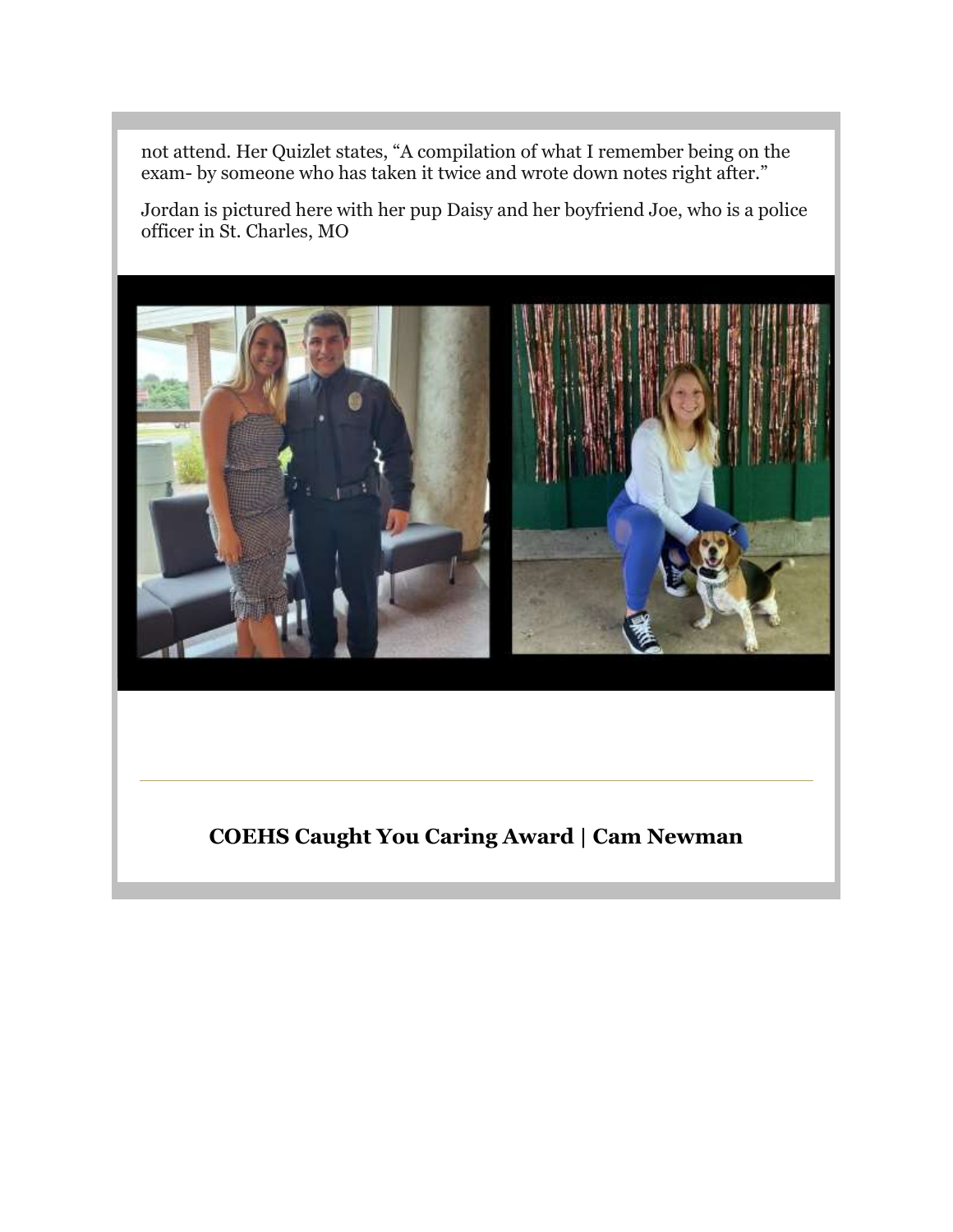not attend. Her Quizlet states, "A compilation of what I remember being on the exam- by someone who has taken it twice and wrote down notes right after."

Jordan is pictured here with her pup Daisy and her boyfriend Joe, who is a police officer in St. Charles, MO



## **COEHS Caught You Caring Award | Cam Newman**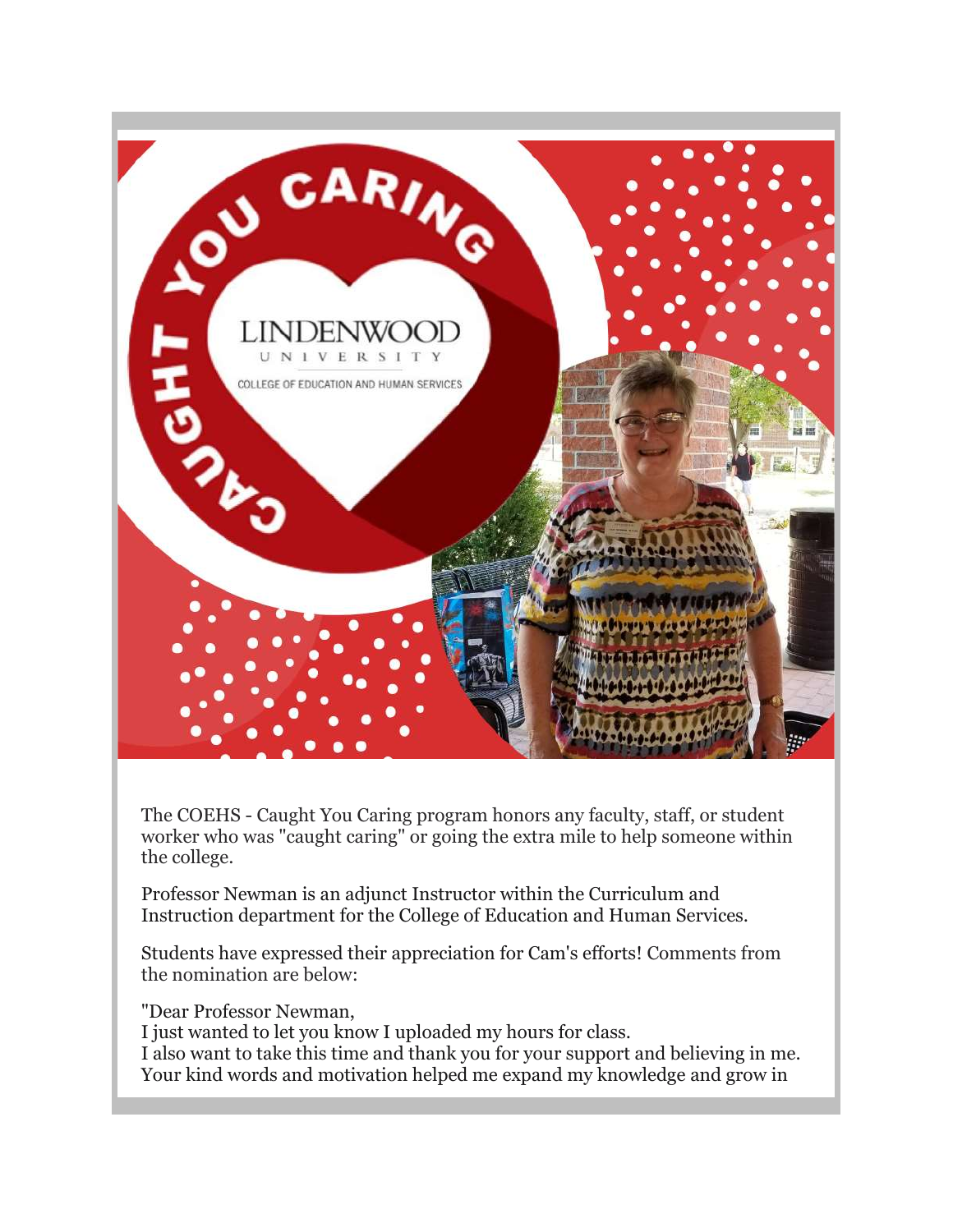

The COEHS - Caught You Caring program honors any faculty, staff, or student worker who was "caught caring" or going the extra mile to help someone within the college.

Professor Newman is an adjunct Instructor within the Curriculum and Instruction department for the College of Education and Human Services.

Students have expressed their appreciation for Cam's efforts! Comments from the nomination are below:

"Dear Professor Newman,

I just wanted to let you know I uploaded my hours for class.

I also want to take this time and thank you for your support and believing in me. Your kind words and motivation helped me expand my knowledge and grow in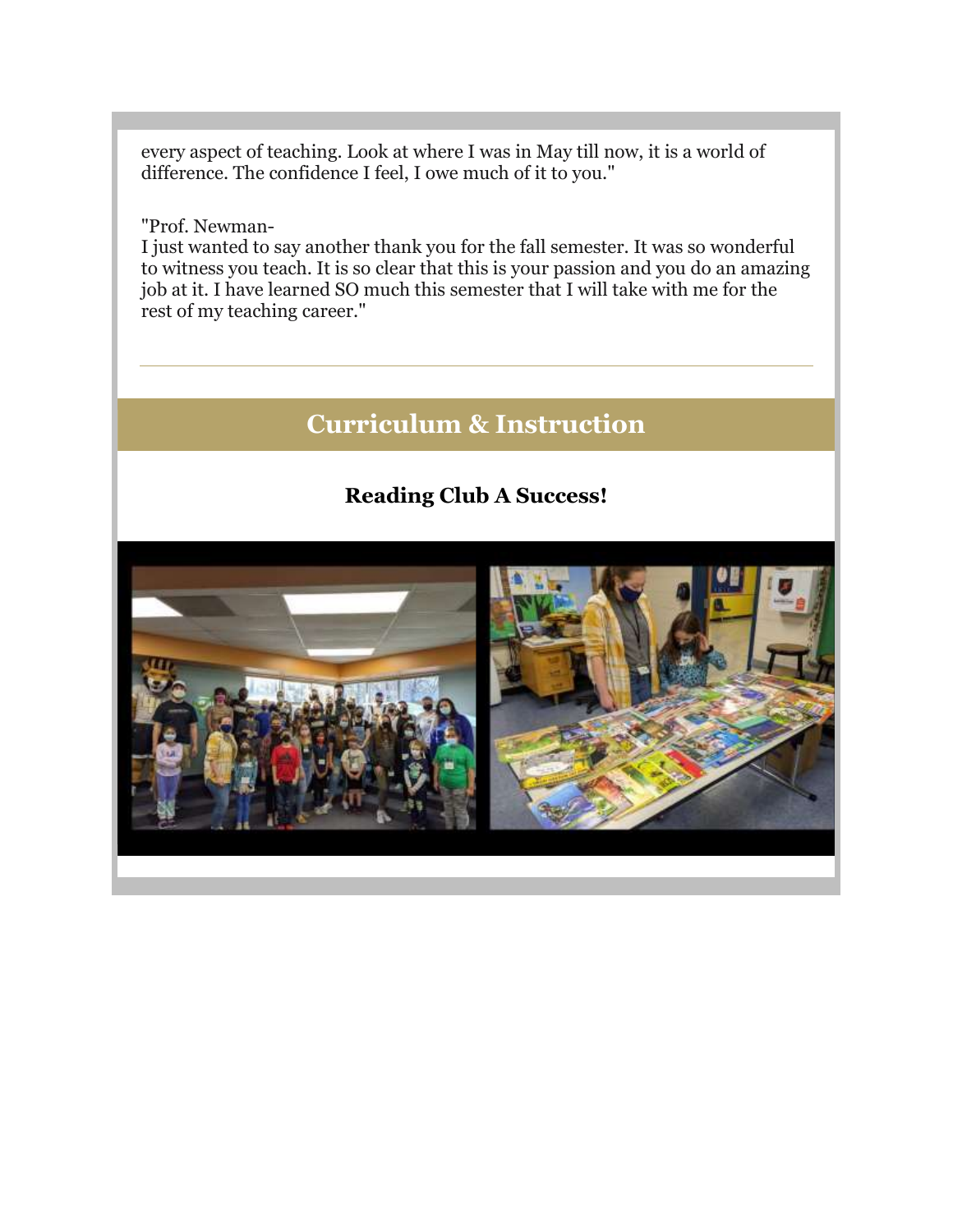every aspect of teaching. Look at where I was in May till now, it is a world of difference. The confidence I feel, I owe much of it to you."

"Prof. Newman-

I just wanted to say another thank you for the fall semester. It was so wonderful to witness you teach. It is so clear that this is your passion and you do an amazing job at it. I have learned SO much this semester that I will take with me for the rest of my teaching career."

# **Curriculum & Instruction**

## **Reading Club A Success!**

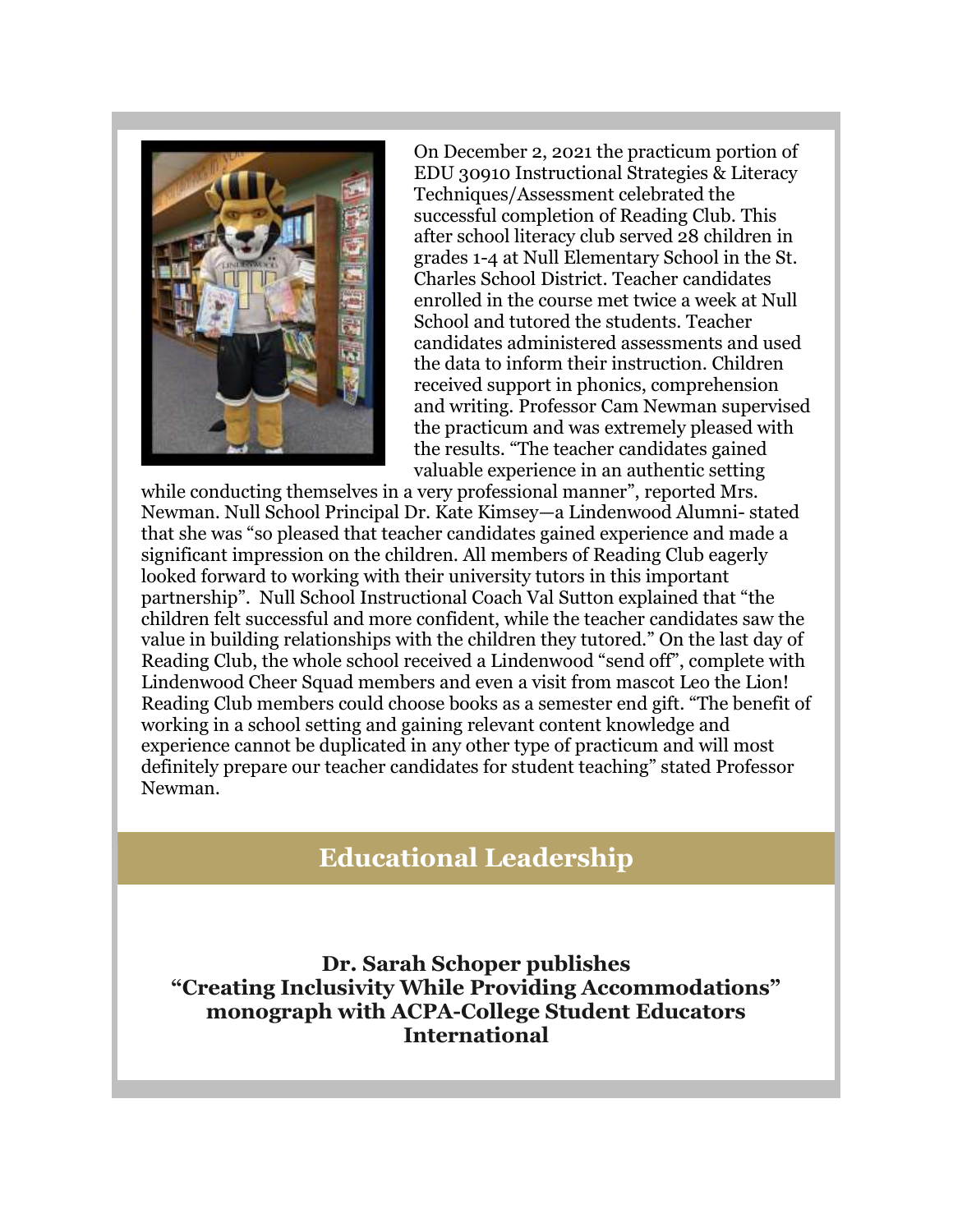

On December 2, 2021 the practicum portion of EDU 30910 Instructional Strategies & Literacy Techniques/Assessment celebrated the successful completion of Reading Club. This after school literacy club served 28 children in grades 1-4 at Null Elementary School in the St. Charles School District. Teacher candidates enrolled in the course met twice a week at Null School and tutored the students. Teacher candidates administered assessments and used the data to inform their instruction. Children received support in phonics, comprehension and writing. Professor Cam Newman supervised the practicum and was extremely pleased with the results. "The teacher candidates gained valuable experience in an authentic setting

while conducting themselves in a very professional manner", reported Mrs. Newman. Null School Principal Dr. Kate Kimsey—a Lindenwood Alumni- stated that she was "so pleased that teacher candidates gained experience and made a significant impression on the children. All members of Reading Club eagerly looked forward to working with their university tutors in this important partnership". Null School Instructional Coach Val Sutton explained that "the children felt successful and more confident, while the teacher candidates saw the value in building relationships with the children they tutored." On the last day of Reading Club, the whole school received a Lindenwood "send off", complete with Lindenwood Cheer Squad members and even a visit from mascot Leo the Lion! Reading Club members could choose books as a semester end gift. "The benefit of working in a school setting and gaining relevant content knowledge and experience cannot be duplicated in any other type of practicum and will most definitely prepare our teacher candidates for student teaching" stated Professor Newman.

# **Educational Leadership**

**Dr. Sarah Schoper publishes "Creating Inclusivity While Providing Accommodations" monograph with ACPA-College Student Educators International**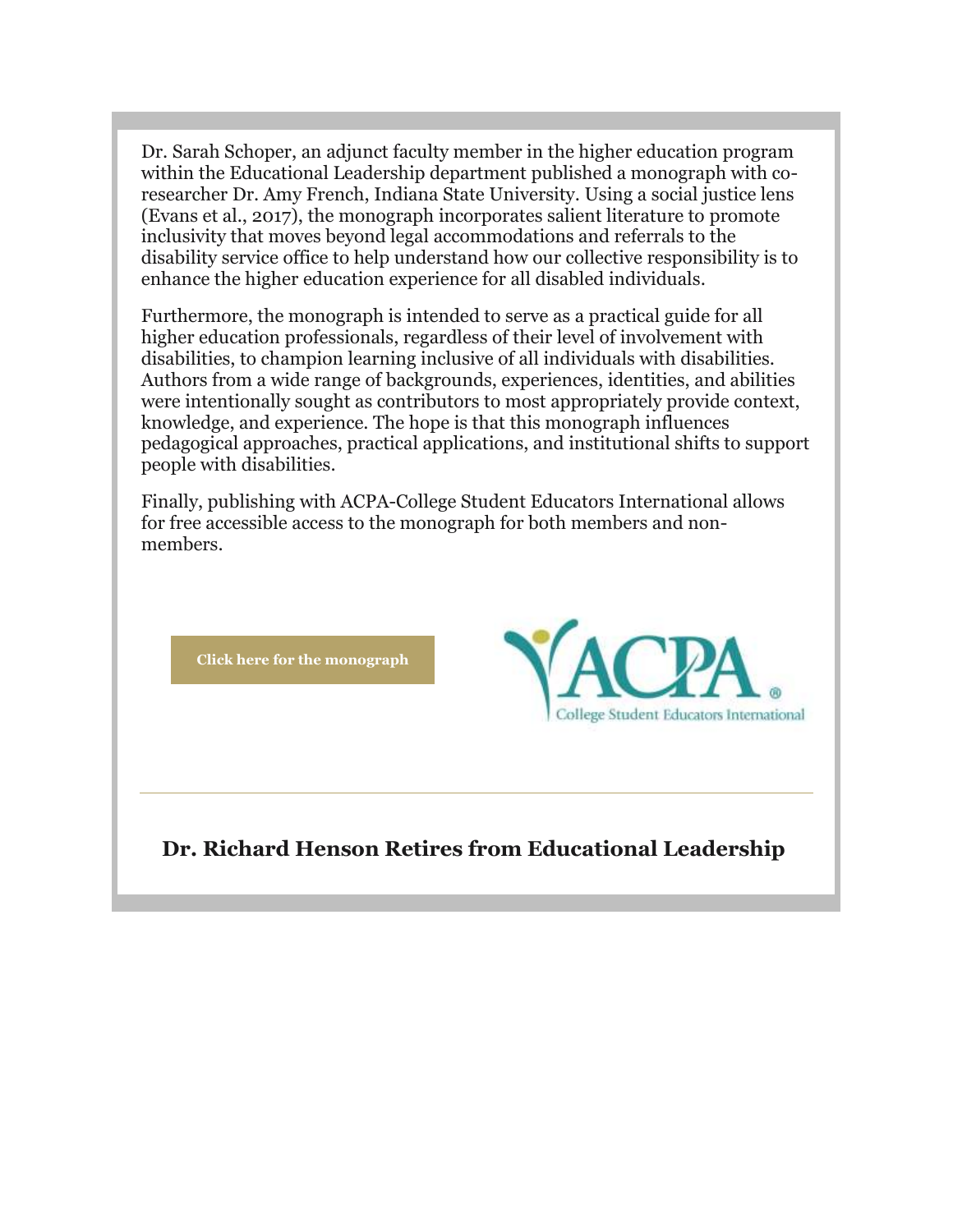Dr. Sarah Schoper, an adjunct faculty member in the higher education program within the Educational Leadership department published a monograph with coresearcher Dr. Amy French, Indiana State University. Using a social justice lens (Evans et al., 2017), the monograph incorporates salient literature to promote inclusivity that moves beyond legal accommodations and referrals to the disability service office to help understand how our collective responsibility is to enhance the higher education experience for all disabled individuals.

Furthermore, the monograph is intended to serve as a practical guide for all higher education professionals, regardless of their level of involvement with disabilities, to champion learning inclusive of all individuals with disabilities. Authors from a wide range of backgrounds, experiences, identities, and abilities were intentionally sought as contributors to most appropriately provide context, knowledge, and experience. The hope is that this monograph influences pedagogical approaches, practical applications, and institutional shifts to support people with disabilities.

Finally, publishing with ACPA-College Student Educators International allows for free accessible access to the monograph for both members and nonmembers.

**[Click here for the monograph](https://nam04.safelinks.protection.outlook.com/?url=https%3A%2F%2Fr20.rs6.net%2Ftn.jsp%3Ff%3D001mw-4XsUTvDJaiOy8WEnwDQyFB1HU1u2ZSuqGTjh8EvPMCtoMPbcfJp6SZ83YxQPDVk6Ybek3wsiLdF_0Tqovenb1uCl__rD2GQAXHRge7gJGduyoO7uz7khQn1EMJaDlmktj7X4zPB0KS3kndkAyvjj7Y3u7NuW5pRPErUut0YfxRk-cZO10Dl6O1gxjuPdGqvRGefM_Tv2y97IRyAWh6EBQ4uWQ2GageTtMWVEWHhA%3D%26c%3D-_FK0SfcGGsDAkE83Dis9Smhxq6dxfmYqrcMYSwNHfue7bg80H4lWA%3D%3D%26ch%3DvFAjamSSNb8iQdJ1-1A1sC0EOxIuk4SDQTLY96L-RV-PCTd5z_ibBA%3D%3D&data=04%7C01%7Cphuffman%40lindenwood.edu%7C9f3b9727adf64d22cd9e08d9ceca1516%7C3d72f08e540a4c68905d9e69c4d9c61e%7C1%7C0%7C637768189602257565%7CUnknown%7CTWFpbGZsb3d8eyJWIjoiMC4wLjAwMDAiLCJQIjoiV2luMzIiLCJBTiI6Ik1haWwiLCJXVCI6Mn0%3D%7C3000&sdata=a26waBr027EHdMfsOTaqdj8id68ODlh9lTyYbWKT%2FnQ%3D&reserved=0)**



## **Dr. Richard Henson Retires from Educational Leadership**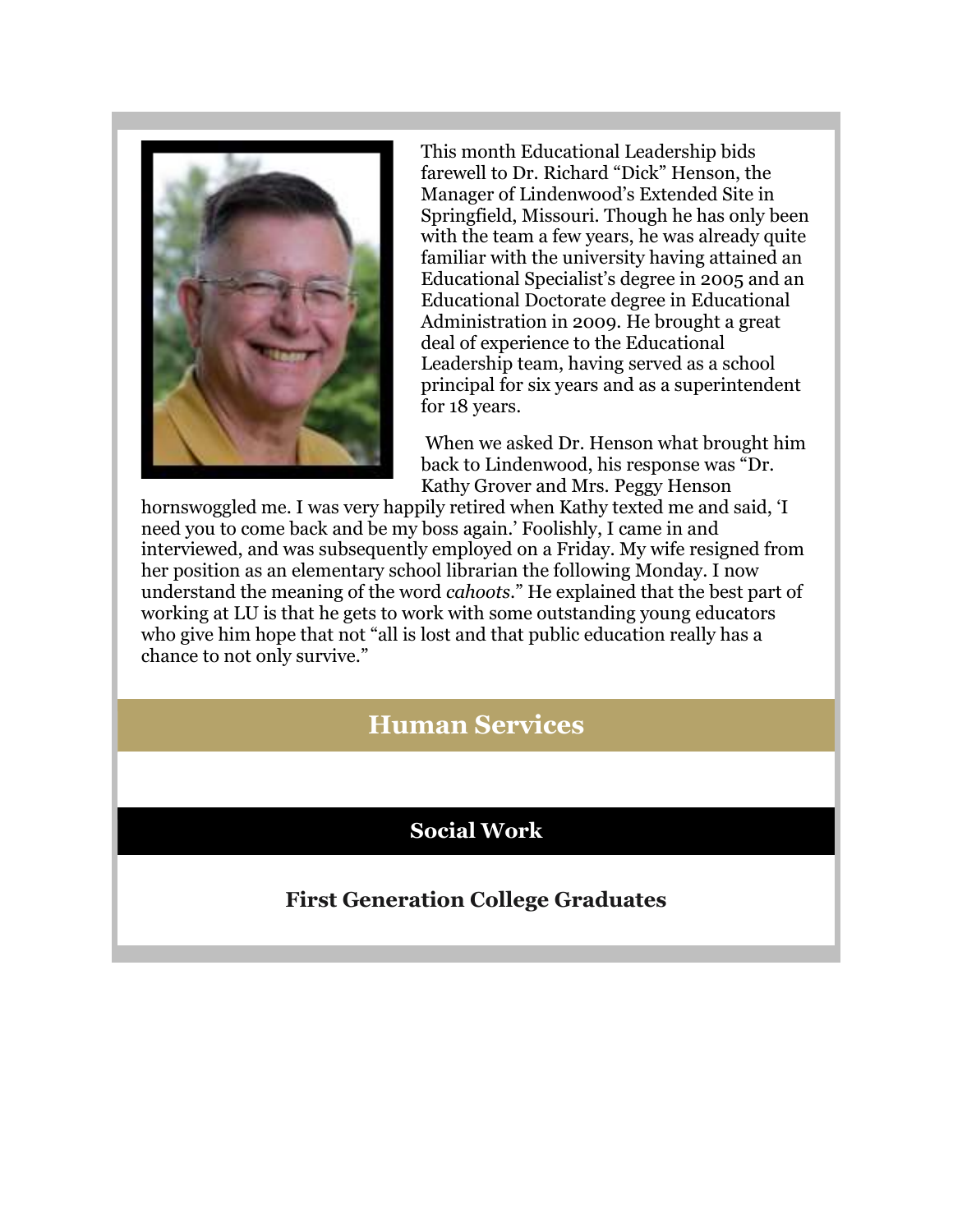

This month Educational Leadership bids farewell to Dr. Richard "Dick" Henson, the Manager of Lindenwood's Extended Site in Springfield, Missouri. Though he has only been with the team a few years, he was already quite familiar with the university having attained an Educational Specialist's degree in 2005 and an Educational Doctorate degree in Educational Administration in 2009. He brought a great deal of experience to the Educational Leadership team, having served as a school principal for six years and as a superintendent for 18 years.

When we asked Dr. Henson what brought him back to Lindenwood, his response was "Dr. Kathy Grover and Mrs. Peggy Henson

hornswoggled me. I was very happily retired when Kathy texted me and said, 'I need you to come back and be my boss again.' Foolishly, I came in and interviewed, and was subsequently employed on a Friday. My wife resigned from her position as an elementary school librarian the following Monday. I now understand the meaning of the word *cahoots*." He explained that the best part of working at LU is that he gets to work with some outstanding young educators who give him hope that not "all is lost and that public education really has a chance to not only survive."

# **Human Services**

# **Social Work**

# **First Generation College Graduates**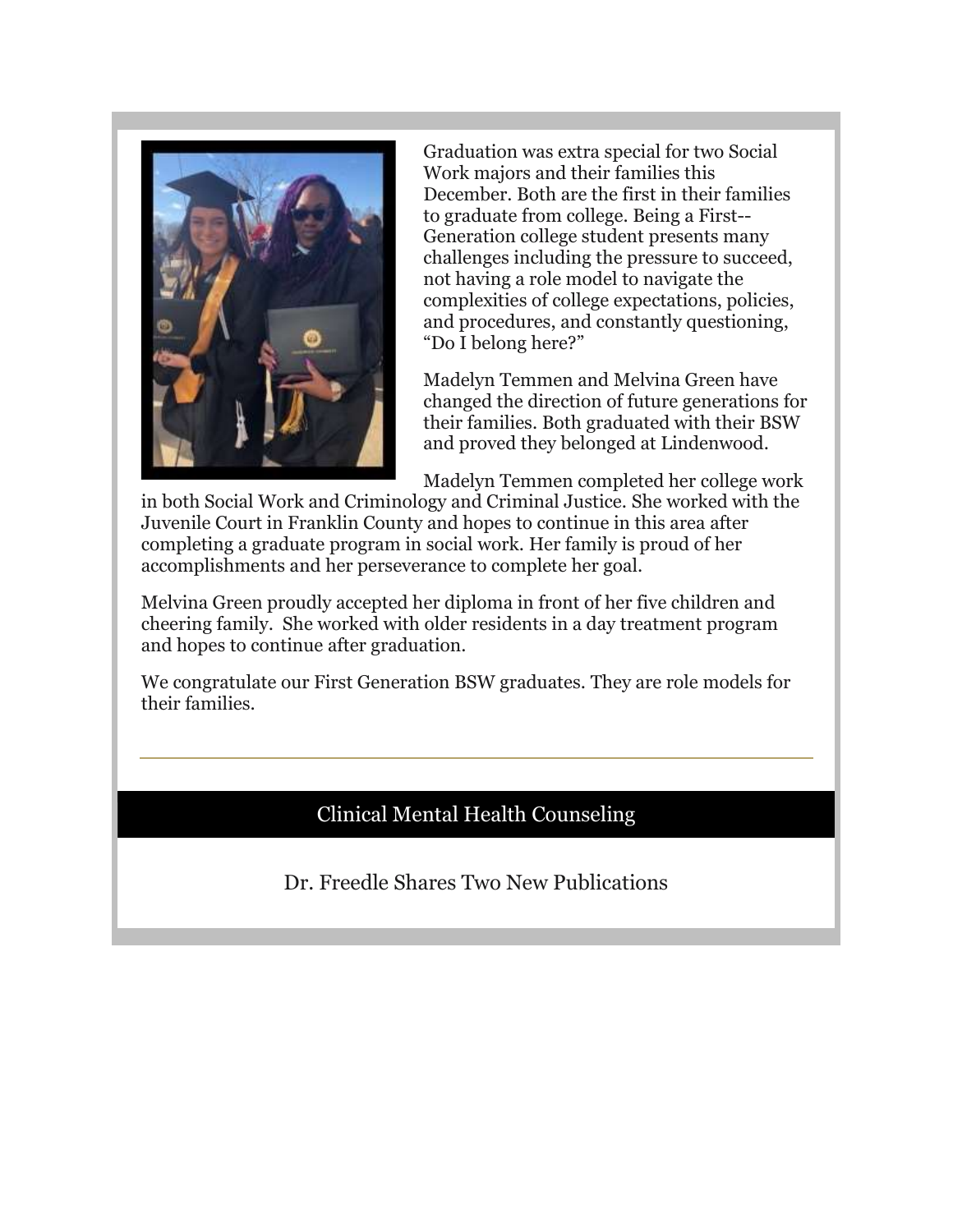

Graduation was extra special for two Social Work majors and their families this December. Both are the first in their families to graduate from college. Being a First-- Generation college student presents many challenges including the pressure to succeed, not having a role model to navigate the complexities of college expectations, policies, and procedures, and constantly questioning, "Do I belong here?"

Madelyn Temmen and Melvina Green have changed the direction of future generations for their families. Both graduated with their BSW and proved they belonged at Lindenwood.

Madelyn Temmen completed her college work

in both Social Work and Criminology and Criminal Justice. She worked with the Juvenile Court in Franklin County and hopes to continue in this area after completing a graduate program in social work. Her family is proud of her accomplishments and her perseverance to complete her goal.

Melvina Green proudly accepted her diploma in front of her five children and cheering family. She worked with older residents in a day treatment program and hopes to continue after graduation.

We congratulate our First Generation BSW graduates. They are role models for their families.

## Clinical Mental Health Counseling

Dr. Freedle Shares Two New Publications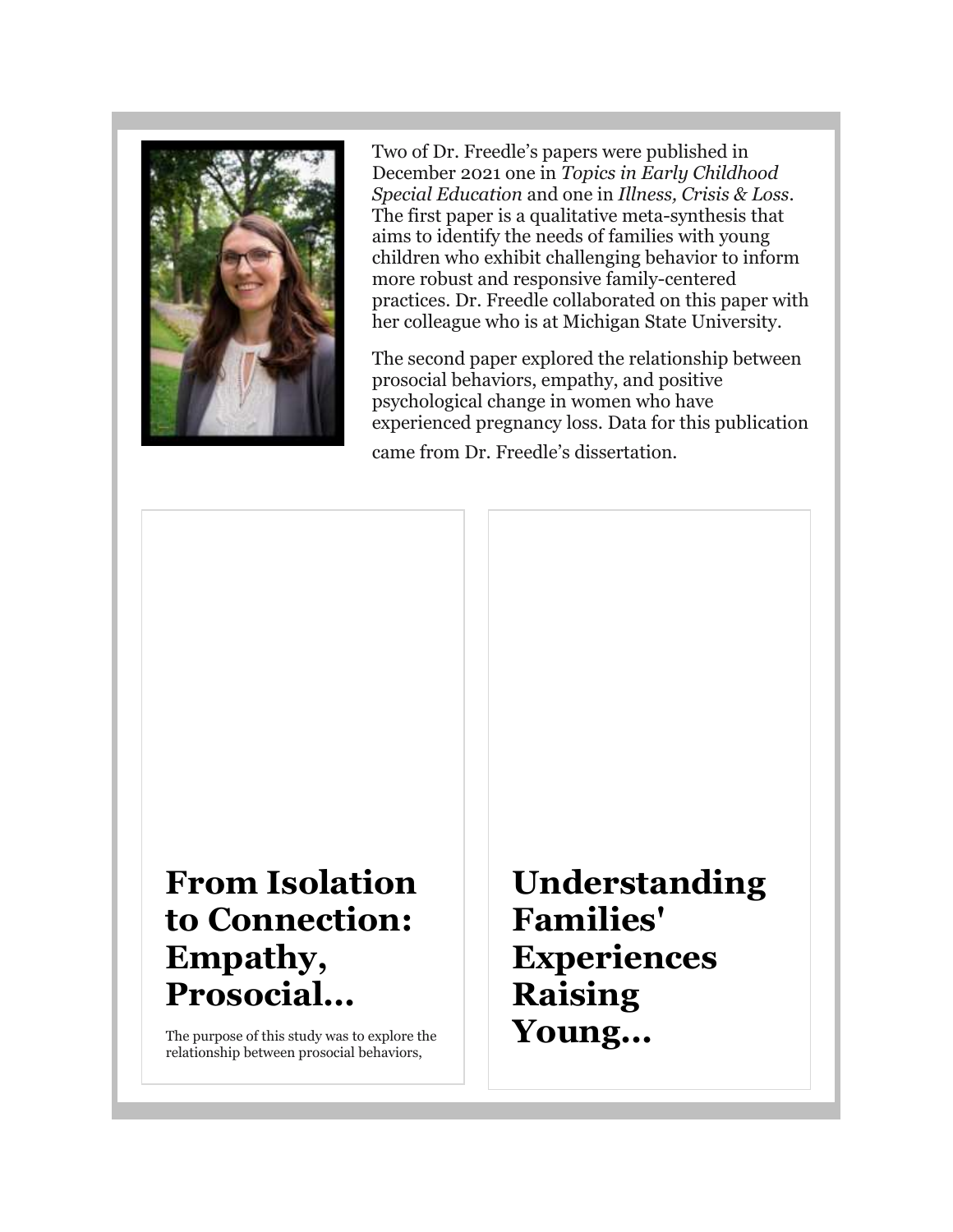

Two of Dr. Freedle's papers were published in December 2021 one in *Topics in Early Childhood Special Education* and one in *Illness, Crisis & Loss*. The first paper is a qualitative meta-synthesis that aims to identify the needs of families with young children who exhibit challenging behavior to inform more robust and responsive family-centered practices. Dr. Freedle collaborated on this paper with her colleague who is at Michigan State University.

The second paper explored the relationship between prosocial behaviors, empathy, and positive psychological change in women who have experienced pregnancy loss. Data for this publication came from Dr. Freedle's dissertation.

# **From Isolation to Connection: Empathy, Prosocial...**

The purpose of this study was to explore the relationship between prosocial behaviors,

**Understanding Families' Experiences Raising Young...**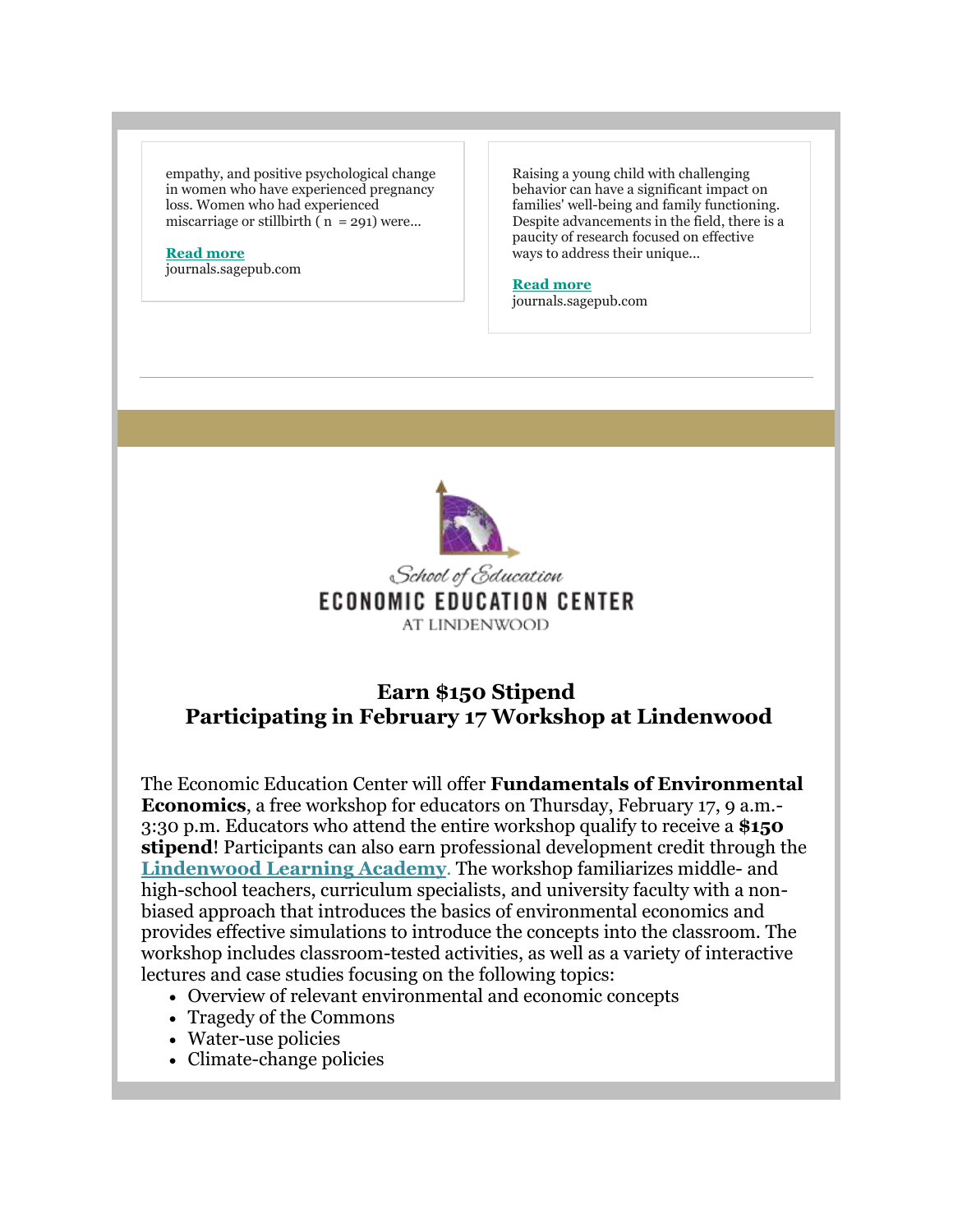empathy, and positive psychological change in women who have experienced pregnancy loss. Women who had experienced miscarriage or stillbirth ( $n = 291$ ) were...

## **[Read more](https://nam04.safelinks.protection.outlook.com/?url=https%3A%2F%2Fr20.rs6.net%2Ftn.jsp%3Ff%3D001mw-4XsUTvDJaiOy8WEnwDQyFB1HU1u2ZSuqGTjh8EvPMCtoMPbcfJp6SZ83YxQPDqd0Q0tW16qDBQDprDOWugMAEWja8YCvo4kNM0671yYCu2kJrRYjtPr2PzSq98MMH6qBBWN200cV4R2kAdKtxcMABRKrXk55bMFTh2uU-xwVaYD9cf5KonJMwC27Zrt4KwgWSqlcqXO4%3D%26c%3D-_FK0SfcGGsDAkE83Dis9Smhxq6dxfmYqrcMYSwNHfue7bg80H4lWA%3D%3D%26ch%3DvFAjamSSNb8iQdJ1-1A1sC0EOxIuk4SDQTLY96L-RV-PCTd5z_ibBA%3D%3D&data=04%7C01%7Cphuffman%40lindenwood.edu%7C9f3b9727adf64d22cd9e08d9ceca1516%7C3d72f08e540a4c68905d9e69c4d9c61e%7C1%7C0%7C637768189602257565%7CUnknown%7CTWFpbGZsb3d8eyJWIjoiMC4wLjAwMDAiLCJQIjoiV2luMzIiLCJBTiI6Ik1haWwiLCJXVCI6Mn0%3D%7C3000&sdata=Rz6UmXwW6MuFCdTrT%2Fs%2Fs0aoiasbpVMjic0bW%2BiADhk%3D&reserved=0)**

journals.sagepub.com

Raising a young child with challenging behavior can have a significant impact on families' well-being and family functioning. Despite advancements in the field, there is a paucity of research focused on effective ways to address their unique...

#### **[Read more](https://nam04.safelinks.protection.outlook.com/?url=https%3A%2F%2Fr20.rs6.net%2Ftn.jsp%3Ff%3D001mw-4XsUTvDJaiOy8WEnwDQyFB1HU1u2ZSuqGTjh8EvPMCtoMPbcfJp6SZ83YxQPDlVlYpVWo4Ti4YjIkynlTuQ29omGMR8D4wYHUIIgCbUzktVY8xTF98xpDr1LWAukF89nesuZTyfKixGopv75fEqEMfqBeklFgSMKWnwn3dp-Cc3J7PUvuPhWRGOXHD1S6%26c%3D-_FK0SfcGGsDAkE83Dis9Smhxq6dxfmYqrcMYSwNHfue7bg80H4lWA%3D%3D%26ch%3DvFAjamSSNb8iQdJ1-1A1sC0EOxIuk4SDQTLY96L-RV-PCTd5z_ibBA%3D%3D&data=04%7C01%7Cphuffman%40lindenwood.edu%7C9f3b9727adf64d22cd9e08d9ceca1516%7C3d72f08e540a4c68905d9e69c4d9c61e%7C1%7C0%7C637768189602257565%7CUnknown%7CTWFpbGZsb3d8eyJWIjoiMC4wLjAwMDAiLCJQIjoiV2luMzIiLCJBTiI6Ik1haWwiLCJXVCI6Mn0%3D%7C3000&sdata=VquXH7fXp6IZ3pXNallK8KjHr9ehcsRv7llN1ldToJE%3D&reserved=0)**

journals.sagepub.com



## **Earn \$150 Stipend Participating in February 17 Workshop at Lindenwood**

The Economic Education Center will offer **Fundamentals of Environmental Economics**, a free workshop for educators on Thursday, February 17, 9 a.m.- 3:30 p.m. Educators who attend the entire workshop qualify to receive a **\$150 stipend**! Participants can also earn professional development credit through the **[Lindenwood Learning Academy](https://nam04.safelinks.protection.outlook.com/?url=https%3A%2F%2Fr20.rs6.net%2Ftn.jsp%3Ff%3D001mw-4XsUTvDJaiOy8WEnwDQyFB1HU1u2ZSuqGTjh8EvPMCtoMPbcfJp6SZ83YxQPDIDyV4HiPOHyJUISsn3Jae-qH4Y89ayzdjLE2WJjguvrAznr2jBvJPGmRkcENiL3uFICcmdrFyST6dznf6LFNmonJ376-ItSEIvriy5wO5GGERVqaRzrNpiCDe-l-WnLiowWNYHaWDaye0Njlf4asCA%3D%3D%26c%3D-_FK0SfcGGsDAkE83Dis9Smhxq6dxfmYqrcMYSwNHfue7bg80H4lWA%3D%3D%26ch%3DvFAjamSSNb8iQdJ1-1A1sC0EOxIuk4SDQTLY96L-RV-PCTd5z_ibBA%3D%3D&data=04%7C01%7Cphuffman%40lindenwood.edu%7C9f3b9727adf64d22cd9e08d9ceca1516%7C3d72f08e540a4c68905d9e69c4d9c61e%7C1%7C0%7C637768189602257565%7CUnknown%7CTWFpbGZsb3d8eyJWIjoiMC4wLjAwMDAiLCJQIjoiV2luMzIiLCJBTiI6Ik1haWwiLCJXVCI6Mn0%3D%7C3000&sdata=I4Lfp5aMrAAiiMmnmz7pCaYT2tlX7VEbfVEi30c5o7U%3D&reserved=0)**. The workshop familiarizes middle- and high-school teachers, curriculum specialists, and university faculty with a nonbiased approach that introduces the basics of environmental economics and provides effective simulations to introduce the concepts into the classroom. The workshop includes classroom-tested activities, as well as a variety of interactive lectures and case studies focusing on the following topics:

- Overview of relevant environmental and economic concepts
- Tragedy of the Commons
- Water-use policies
- Climate-change policies